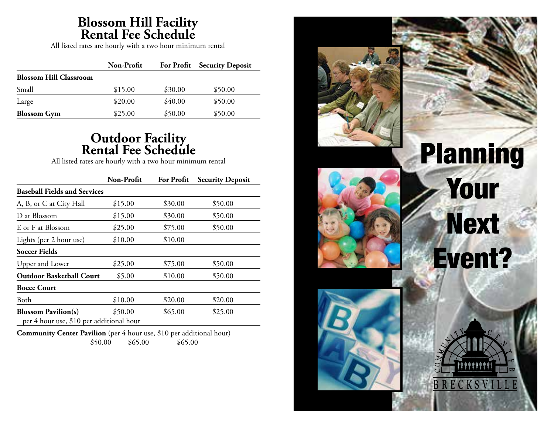## **Blossom Hill Facility Rental Fee Schedule**

All listed rates are hourly with a two hour minimum rental

|                               | Non-Profit |         | For Profit Security Deposit |
|-------------------------------|------------|---------|-----------------------------|
| <b>Blossom Hill Classroom</b> |            |         |                             |
| Small                         | \$15.00    | \$30.00 | \$50.00                     |
| Large                         | \$20.00    | \$40.00 | \$50.00                     |
| <b>Blossom</b> Gym            | \$25.00    | \$50.00 | \$50.00                     |

### **Outdoor Facility Rental Fee Schedule**

All listed rates are hourly with a two hour minimum rental

|                                                                             | Non-Profit | <b>For Profit</b> | <b>Security Deposit</b> |
|-----------------------------------------------------------------------------|------------|-------------------|-------------------------|
| <b>Baseball Fields and Services</b>                                         |            |                   |                         |
| A, B, or C at City Hall                                                     | \$15.00    | \$30.00           | \$50.00                 |
| D at Blossom                                                                | \$15.00    | \$30.00           | \$50.00                 |
| E or F at Blossom                                                           | \$25.00    | \$75.00           | \$50.00                 |
| Lights (per 2 hour use)                                                     | \$10.00    | \$10.00           |                         |
| <b>Soccer Fields</b>                                                        |            |                   |                         |
| Upper and Lower                                                             | \$25.00    | \$75.00           | \$50.00                 |
| <b>Outdoor Basketball Court</b>                                             | \$5.00     | \$10.00           | \$50.00                 |
| <b>Bocce Court</b>                                                          |            |                   |                         |
| Both                                                                        | \$10.00    | \$20.00           | \$20.00                 |
| <b>Blossom Pavilion(s)</b>                                                  | \$50.00    | \$65.00           | \$25.00                 |
| per 4 hour use, \$10 per additional hour                                    |            |                   |                         |
| <b>Community Center Pavilion</b> (per 4 hour use, \$10 per additional hour) |            |                   |                         |
| \$50.00                                                                     | \$65.00    | \$65.00           |                         |